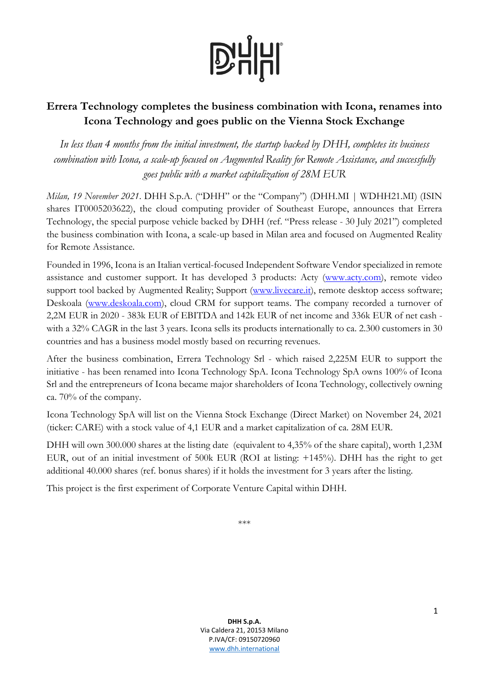

## **Errera Technology completes the business combination with Icona, renames into Icona Technology and goes public on the Vienna Stock Exchange**

*In less than 4 months from the initial investment, the startup backed by DHH, completes its business combination with Icona, a scale-up focused on Augmented Reality for Remote Assistance, and successfully goes public with a market capitalization of 28M EUR*

*Milan, 19 November 2021*. DHH S.p.A. ("DHH" or the "Company") (DHH.MI | WDHH21.MI) (ISIN shares IT0005203622), the cloud computing provider of Southeast Europe, announces that Errera Technology, the special purpose vehicle backed by DHH (ref. "Press release - 30 July 2021") completed the business combination with Icona, a scale-up based in Milan area and focused on Augmented Reality for Remote Assistance.

Founded in 1996, Icona is an Italian vertical-focused Independent Software Vendor specialized in remote assistance and customer support. It has developed 3 products: Acty [\(www.acty.com\)](http://www.acty.com/), remote video support tool backed by Augmented Reality; Support [\(www.livecare.it\)](http://www.livecare.it/), remote desktop access software; Deskoala [\(www.deskoala.com\)](http://www.deskoala.com/), cloud CRM for support teams. The company recorded a turnover of 2,2M EUR in 2020 - 383k EUR of EBITDA and 142k EUR of net income and 336k EUR of net cash with a 32% CAGR in the last 3 years. Icona sells its products internationally to ca. 2.300 customers in 30 countries and has a business model mostly based on recurring revenues.

After the business combination, Errera Technology Srl - which raised 2,225M EUR to support the initiative - has been renamed into Icona Technology SpA. Icona Technology SpA owns 100% of Icona Srl and the entrepreneurs of Icona became major shareholders of Icona Technology, collectively owning ca. 70% of the company.

Icona Technology SpA will list on the Vienna Stock Exchange (Direct Market) on November 24, 2021 (ticker: CARE) with a stock value of 4,1 EUR and a market capitalization of ca. 28M EUR.

DHH will own 300.000 shares at the listing date (equivalent to 4,35% of the share capital), worth 1,23M EUR, out of an initial investment of 500k EUR (ROI at listing: +145%). DHH has the right to get additional 40.000 shares (ref. bonus shares) if it holds the investment for 3 years after the listing.

This project is the first experiment of Corporate Venture Capital within DHH.

<sup>\*\*\*</sup>